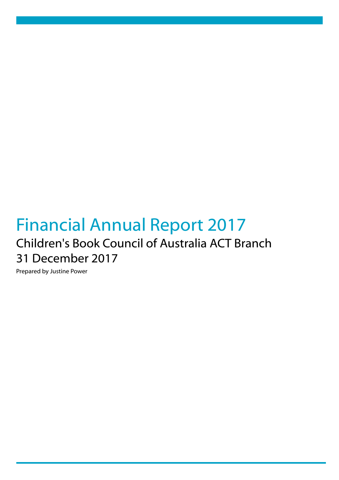# Financial Annual Report 2017 Children's Book Council of Australia ACT Branch 31 December 2017

Prepared by Justine Power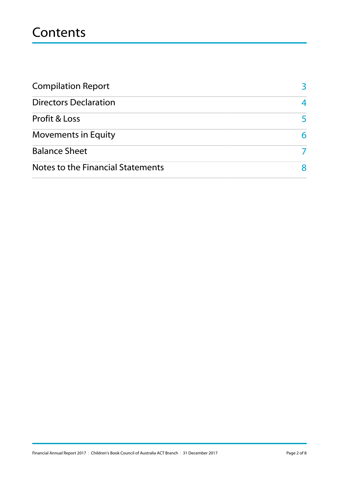## **Contents**

| <b>Compilation Report</b>         |    |
|-----------------------------------|----|
| <b>Directors Declaration</b>      |    |
| <b>Profit &amp; Loss</b>          | 5. |
| <b>Movements in Equity</b>        | 6. |
| <b>Balance Sheet</b>              |    |
| Notes to the Financial Statements |    |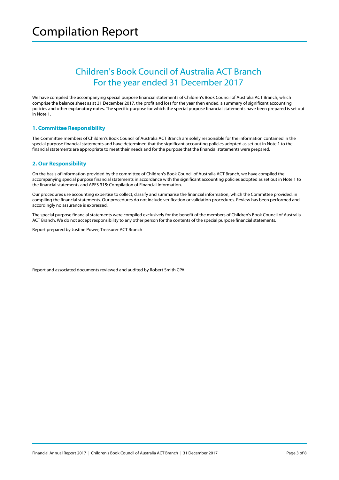### Children's Book Council of Australia ACT Branch For the year ended 31 December 2017

We have compiled the accompanying special purpose financial statements of Children's Book Council of Australia ACT Branch, which comprise the balance sheet as at 31 December 2017, the profit and loss for the year then ended, a summary of significant accounting policies and other explanatory notes. The specific purpose for which the special purpose financial statements have been prepared is set out in Note 1.

#### **1. Committee Responsibility**

The Committee members of Children's Book Council of Australia ACT Branch are solely responsible for the information contained in the special purpose financial statements and have determined that the significant accounting policies adopted as set out in Note 1 to the financial statements are appropriate to meet their needs and for the purpose that the financial statements were prepared.

### **2. Our Responsibility**

On the basis of information provided by the committee of Children's Book Council of Australia ACT Branch, we have compiled the accompanying special purpose financial statements in accordance with the significant accounting policies adopted as set out in Note 1 to the financial statements and APES 315: Compilation of Financial Information.

Our procedures use accounting expertise to collect, classify and summarise the financial information, which the Committee provided, in compiling the financial statements. Our procedures do not include verification or validation procedures. Review has been performed and accordingly no assurance is expressed.

The special purpose financial statements were compiled exclusively for the benefit of the members of Children's Book Council of Australia ACT Branch. We do not accept responsibility to any other person for the contents of the special purpose financial statements.

Report prepared by Justine Power, Treasurer ACT Branch

\_\_\_\_\_\_\_\_\_\_\_\_\_\_\_\_\_\_\_\_\_\_\_\_\_\_\_\_\_\_\_\_\_\_\_\_\_

\_\_\_\_\_\_\_\_\_\_\_\_\_\_\_\_\_\_\_\_\_\_\_\_\_\_\_\_\_\_\_\_\_\_\_\_\_

Report and associated documents reviewed and audited by Robert Smith CPA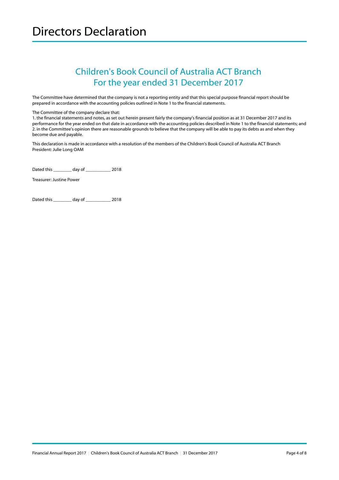### Children's Book Council of Australia ACT Branch For the year ended 31 December 2017

The Committee have determined that the company is not a reporting entity and that this special purpose financial report should be prepared in accordance with the accounting policies outlined in Note 1 to the financial statements.

The Committee of the company declare that:

1. the financial statements and notes, as set out herein present fairly the company's financial position as at 31 December 2017 and its performance for the year ended on that date in accordance with the accounting policies described in Note 1 to the financial statements; and 2. in the Committee's opinion there are reasonable grounds to believe that the company will be able to pay its debts as and when they become due and payable.

This declaration is made in accordance with a resolution of the members of the Children's Book Council of Australia ACT Branch President: Julie Long OAM

Dated this \_\_\_\_\_\_\_\_ day of \_\_\_\_\_\_\_\_\_\_\_ 2018

Treasurer: Justine Power

Dated this \_\_\_\_\_\_\_\_ day of \_\_\_\_\_\_\_\_\_\_\_ 2018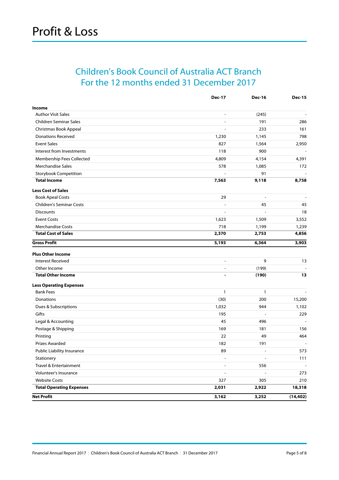### <span id="page-4-0"></span>Children's Book Council of Australia ACT Branch For the 12 months ended 31 December 2017

|                                 | <b>Dec-17</b>            | <b>Dec-16</b>  | <b>Dec-15</b>  |
|---------------------------------|--------------------------|----------------|----------------|
| Income                          |                          |                |                |
| <b>Author Visit Sales</b>       | $\overline{\phantom{a}}$ | (245)          |                |
| Children Seminar Sales          | $\overline{\phantom{a}}$ | 191            | 286            |
| Christmas Book Appeal           | $\overline{a}$           | 233            | 161            |
| <b>Donations Received</b>       | 1,230                    | 1,145          | 798            |
| <b>Event Sales</b>              | 827                      | 1,564          | 2,950          |
| Interest from Investments       | 118                      | 900            | $\blacksquare$ |
| Membership Fees Collected       | 4,809                    | 4,154          | 4,391          |
| Merchandise Sales               | 578                      | 1,085          | 172            |
| <b>Storybook Competition</b>    |                          | 91             |                |
| <b>Total Income</b>             | 7,563                    | 9,118          | 8,758          |
| <b>Less Cost of Sales</b>       |                          |                |                |
| <b>Book Apeal Costs</b>         | 29                       | $\overline{a}$ |                |
| <b>Children's Seminar Costs</b> |                          | 45             | 45             |
| <b>Discounts</b>                | L,                       | $\overline{a}$ | 18             |
| <b>Event Costs</b>              | 1,623                    | 1,509          | 3,552          |
| <b>Merchandise Costs</b>        | 718                      | 1,199          | 1,239          |
| <b>Total Cost of Sales</b>      | 2,370                    | 2,753          | 4,856          |
| <b>Gross Profit</b>             | 5,193                    | 6,364          | 3,903          |
| <b>Plus Other Income</b>        |                          |                |                |
| <b>Interest Received</b>        | $\overline{\phantom{a}}$ | 9              | 13             |
| Other Income                    | $\overline{a}$           | (199)          |                |
| <b>Total Other Income</b>       |                          | (190)          | 13             |
| <b>Less Operating Expenses</b>  |                          |                |                |
| <b>Bank Fees</b>                | 1                        | 1              |                |
| Donations                       | (30)                     | 200            | 15,200         |
| Dues & Subscriptions            | 1,032                    | 944            | 1,102          |
| Gifts                           | 195                      | $\overline{a}$ | 229            |
| Legal & Accounting              | 45                       | 496            |                |
| Postage & Shipping              | 169                      | 181            | 156            |
| Printing                        | 22                       | 49             | 464            |
| Prizes Awarded                  | 182                      | 191            |                |
| Public Liability Insurance      | 89                       |                | 573            |
| Stationery                      | $\overline{\phantom{a}}$ |                | 111            |
| Travel & Entertainment          | $\overline{a}$           | 556            | $\sim$         |
| Volunteer's Insurance           | $\overline{a}$           | $\overline{a}$ | 273            |
| <b>Website Costs</b>            | 327                      | 305            | 210            |
| <b>Total Operating Expenses</b> | 2,031                    | 2,922          | 18,318         |
| <b>Net Profit</b>               | 3,162                    | 3,252          | (14, 402)      |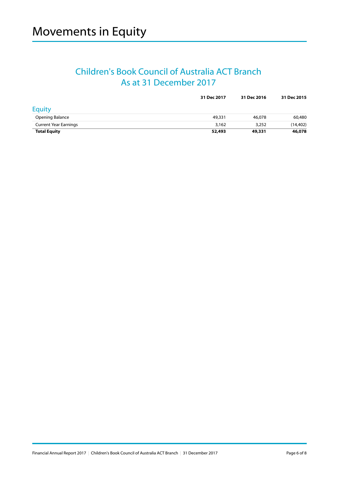### Children's Book Council of Australia ACT Branch As at 31 December 2017

|                              | 31 Dec 2017 | 31 Dec 2016 | 31 Dec 2015 |
|------------------------------|-------------|-------------|-------------|
| Equity                       |             |             |             |
| Opening Balance              | 49,331      | 46,078      | 60,480      |
| <b>Current Year Earnings</b> | 3,162       | 3,252       | (14, 402)   |
| <b>Total Equity</b>          | 52,493      | 49,331      | 46,078      |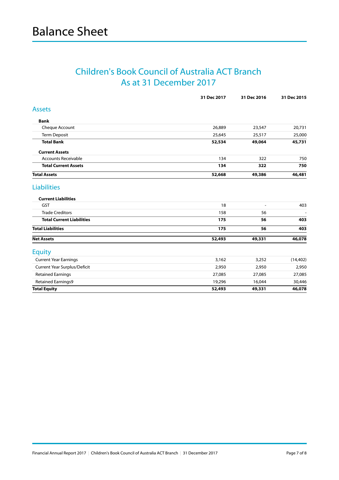### Children's Book Council of Australia ACT Branch As at 31 December 2017

|                                     | 31 Dec 2017 | 31 Dec 2016 | 31 Dec 2015 |
|-------------------------------------|-------------|-------------|-------------|
| <b>Assets</b>                       |             |             |             |
| <b>Bank</b>                         |             |             |             |
| Cheque Account                      | 26,889      | 23,547      | 20,731      |
| <b>Term Deposit</b>                 | 25,645      | 25,517      | 25,000      |
| <b>Total Bank</b>                   | 52,534      | 49,064      | 45,731      |
| <b>Current Assets</b>               |             |             |             |
| <b>Accounts Receivable</b>          | 134         | 322         | 750         |
| <b>Total Current Assets</b>         | 134         | 322         | 750         |
| <b>Total Assets</b>                 | 52,668      | 49,386      | 46,481      |
| <b>Liabilities</b>                  |             |             |             |
| <b>Current Liabilities</b>          |             |             |             |
| <b>GST</b>                          | 18          |             | 403         |
| <b>Trade Creditors</b>              | 158         | 56          |             |
| <b>Total Current Liabilities</b>    | 175         | 56          | 403         |
| <b>Total Liabilities</b>            | 175         | 56          | 403         |
| <b>Net Assets</b>                   | 52,493      | 49,331      | 46,078      |
| <b>Equity</b>                       |             |             |             |
| <b>Current Year Earnings</b>        | 3,162       | 3,252       | (14, 402)   |
| <b>Current Year Surplus/Deficit</b> | 2,950       | 2,950       | 2,950       |
| <b>Retained Earnings</b>            | 27,085      | 27,085      | 27,085      |
| <b>Retained Earnings9</b>           | 19,296      | 16,044      | 30,446      |
| <b>Total Equity</b>                 | 52,493      | 49,331      | 46,078      |